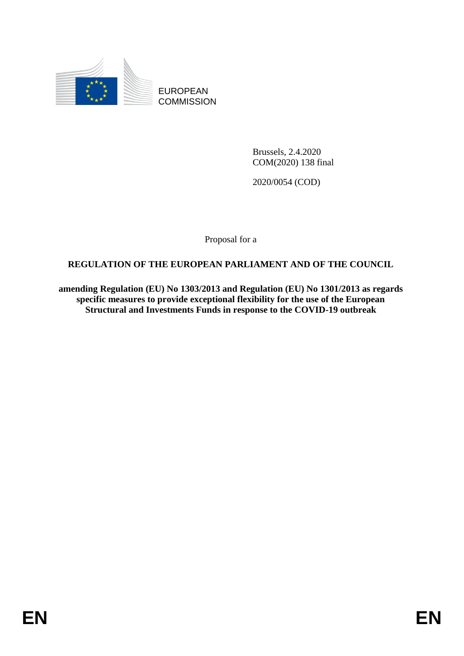

EUROPEAN **COMMISSION** 

> Brussels, 2.4.2020 COM(2020) 138 final

2020/0054 (COD)

Proposal for a

## **REGULATION OF THE EUROPEAN PARLIAMENT AND OF THE COUNCIL**

**amending Regulation (EU) No 1303/2013 and Regulation (EU) No 1301/2013 as regards specific measures to provide exceptional flexibility for the use of the European Structural and Investments Funds in response to the COVID-19 outbreak**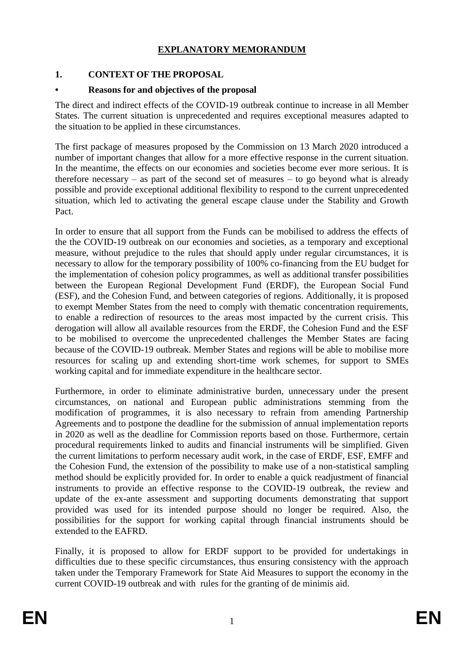## **EXPLANATORY MEMORANDUM**

## **1. CONTEXT OF THE PROPOSAL**

### **• Reasons for and objectives of the proposal**

The direct and indirect effects of the COVID-19 outbreak continue to increase in all Member States. The current situation is unprecedented and requires exceptional measures adapted to the situation to be applied in these circumstances.

The first package of measures proposed by the Commission on 13 March 2020 introduced a number of important changes that allow for a more effective response in the current situation. In the meantime, the effects on our economies and societies become ever more serious. It is therefore necessary – as part of the second set of measures – to go beyond what is already possible and provide exceptional additional flexibility to respond to the current unprecedented situation, which led to activating the general escape clause under the Stability and Growth Pact.

In order to ensure that all support from the Funds can be mobilised to address the effects of the the COVID-19 outbreak on our economies and societies, as a temporary and exceptional measure, without prejudice to the rules that should apply under regular circumstances, it is necessary to allow for the temporary possibility of 100% co-financing from the EU budget for the implementation of cohesion policy programmes, as well as additional transfer possibilities between the European Regional Development Fund (ERDF), the European Social Fund (ESF), and the Cohesion Fund, and between categories of regions. Additionally, it is proposed to exempt Member States from the need to comply with thematic concentration requirements, to enable a redirection of resources to the areas most impacted by the current crisis. This derogation will allow all available resources from the ERDF, the Cohesion Fund and the ESF to be mobilised to overcome the unprecedented challenges the Member States are facing because of the COVID-19 outbreak. Member States and regions will be able to mobilise more resources for scaling up and extending short-time work schemes, for support to SMEs working capital and for immediate expenditure in the healthcare sector.

Furthermore, in order to eliminate administrative burden, unnecessary under the present circumstances, on national and European public administrations stemming from the modification of programmes, it is also necessary to refrain from amending Partnership Agreements and to postpone the deadline for the submission of annual implementation reports in 2020 as well as the deadline for Commission reports based on those. Furthermore, certain procedural requirements linked to audits and financial instruments will be simplified. Given the current limitations to perform necessary audit work, in the case of ERDF, ESF, EMFF and the Cohesion Fund, the extension of the possibility to make use of a non-statistical sampling method should be explicitly provided for. In order to enable a quick readjustment of financial instruments to provide an effective response to the COVID-19 outbreak, the review and update of the ex-ante assessment and supporting documents demonstrating that support provided was used for its intended purpose should no longer be required. Also, the possibilities for the support for working capital through financial instruments should be extended to the EAFRD.

Finally, it is proposed to allow for ERDF support to be provided for undertakings in difficulties due to these specific circumstances, thus ensuring consistency with the approach taken under the Temporary Framework for State Aid Measures to support the economy in the current COVID-19 outbreak and with rules for the granting of de minimis aid.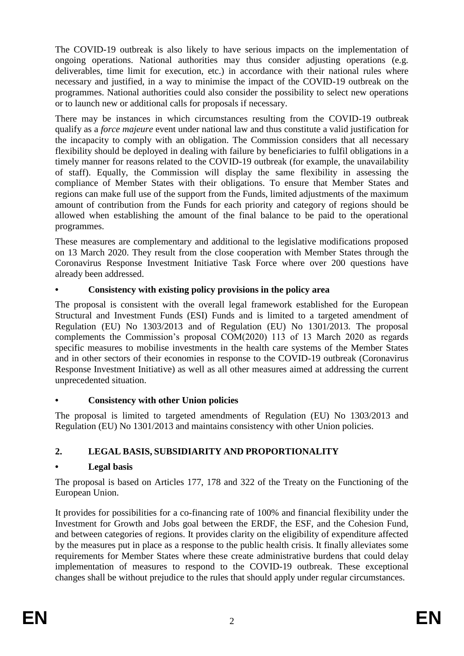The COVID-19 outbreak is also likely to have serious impacts on the implementation of ongoing operations. National authorities may thus consider adjusting operations (e.g. deliverables, time limit for execution, etc.) in accordance with their national rules where necessary and justified, in a way to minimise the impact of the COVID-19 outbreak on the programmes. National authorities could also consider the possibility to select new operations or to launch new or additional calls for proposals if necessary.

There may be instances in which circumstances resulting from the COVID-19 outbreak qualify as a *force majeure* event under national law and thus constitute a valid justification for the incapacity to comply with an obligation. The Commission considers that all necessary flexibility should be deployed in dealing with failure by beneficiaries to fulfil obligations in a timely manner for reasons related to the COVID-19 outbreak (for example, the unavailability of staff). Equally, the Commission will display the same flexibility in assessing the compliance of Member States with their obligations. To ensure that Member States and regions can make full use of the support from the Funds, limited adjustments of the maximum amount of contribution from the Funds for each priority and category of regions should be allowed when establishing the amount of the final balance to be paid to the operational programmes.

These measures are complementary and additional to the legislative modifications proposed on 13 March 2020. They result from the close cooperation with Member States through the Coronavirus Response Investment Initiative Task Force where over 200 questions have already been addressed.

## **• Consistency with existing policy provisions in the policy area**

The proposal is consistent with the overall legal framework established for the European Structural and Investment Funds (ESI) Funds and is limited to a targeted amendment of Regulation (EU) No 1303/2013 and of Regulation (EU) No 1301/2013. The proposal complements the Commission's proposal COM(2020) 113 of 13 March 2020 as regards specific measures to mobilise investments in the health care systems of the Member States and in other sectors of their economies in response to the COVID-19 outbreak (Coronavirus Response Investment Initiative) as well as all other measures aimed at addressing the current unprecedented situation.

## **• Consistency with other Union policies**

The proposal is limited to targeted amendments of Regulation (EU) No 1303/2013 and Regulation (EU) No 1301/2013 and maintains consistency with other Union policies.

# **2. LEGAL BASIS, SUBSIDIARITY AND PROPORTIONALITY**

## **• Legal basis**

The proposal is based on Articles 177, 178 and 322 of the Treaty on the Functioning of the European Union.

It provides for possibilities for a co-financing rate of 100% and financial flexibility under the Investment for Growth and Jobs goal between the ERDF, the ESF, and the Cohesion Fund, and between categories of regions. It provides clarity on the eligibility of expenditure affected by the measures put in place as a response to the public health crisis. It finally alleviates some requirements for Member States where these create administrative burdens that could delay implementation of measures to respond to the COVID-19 outbreak. These exceptional changes shall be without prejudice to the rules that should apply under regular circumstances.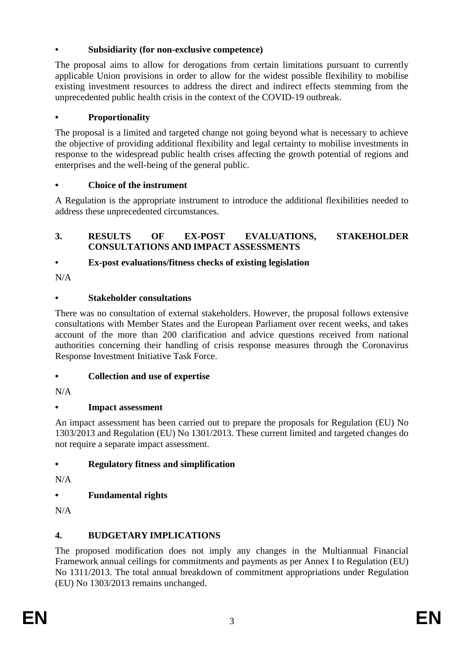## **• Subsidiarity (for non-exclusive competence)**

The proposal aims to allow for derogations from certain limitations pursuant to currently applicable Union provisions in order to allow for the widest possible flexibility to mobilise existing investment resources to address the direct and indirect effects stemming from the unprecedented public health crisis in the context of the COVID-19 outbreak.

## **• Proportionality**

The proposal is a limited and targeted change not going beyond what is necessary to achieve the objective of providing additional flexibility and legal certainty to mobilise investments in response to the widespread public health crises affecting the growth potential of regions and enterprises and the well-being of the general public.

## **• Choice of the instrument**

A Regulation is the appropriate instrument to introduce the additional flexibilities needed to address these unprecedented circumstances.

## **3. RESULTS OF EX-POST EVALUATIONS, STAKEHOLDER CONSULTATIONS AND IMPACT ASSESSMENTS**

## **• Ex-post evaluations/fitness checks of existing legislation**

N/A

## **• Stakeholder consultations**

There was no consultation of external stakeholders. However, the proposal follows extensive consultations with Member States and the European Parliament over recent weeks, and takes account of the more than 200 clarification and advice questions received from national authorities concerning their handling of crisis response measures through the Coronavirus Response Investment Initiative Task Force.

## **• Collection and use of expertise**

N/A

## **• Impact assessment**

An impact assessment has been carried out to prepare the proposals for Regulation (EU) No 1303/2013 and Regulation (EU) No 1301/2013. These current limited and targeted changes do not require a separate impact assessment.

## **• Regulatory fitness and simplification**

N/A

## **• Fundamental rights**

 $N/A$ 

## **4. BUDGETARY IMPLICATIONS**

The proposed modification does not imply any changes in the Multiannual Financial Framework annual ceilings for commitments and payments as per Annex I to Regulation (EU) No 1311/2013. The total annual breakdown of commitment appropriations under Regulation (EU) No 1303/2013 remains unchanged.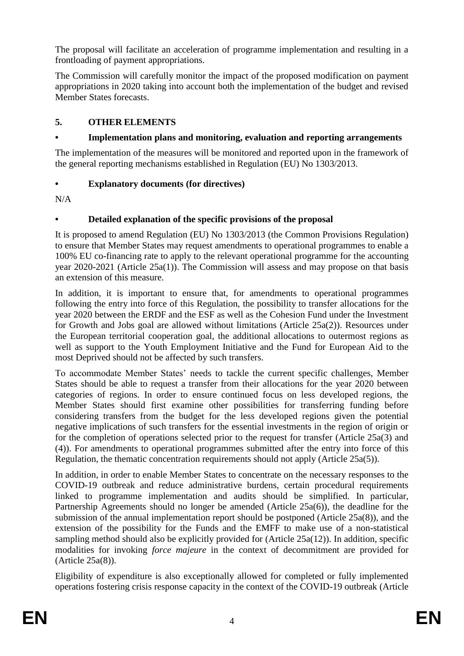The proposal will facilitate an acceleration of programme implementation and resulting in a frontloading of payment appropriations.

The Commission will carefully monitor the impact of the proposed modification on payment appropriations in 2020 taking into account both the implementation of the budget and revised Member States forecasts.

## **5. OTHER ELEMENTS**

## **• Implementation plans and monitoring, evaluation and reporting arrangements**

The implementation of the measures will be monitored and reported upon in the framework of the general reporting mechanisms established in Regulation (EU) No 1303/2013.

## **• Explanatory documents (for directives)**

N/A

## **• Detailed explanation of the specific provisions of the proposal**

It is proposed to amend Regulation (EU) No 1303/2013 (the Common Provisions Regulation) to ensure that Member States may request amendments to operational programmes to enable a 100% EU co-financing rate to apply to the relevant operational programme for the accounting year 2020-2021 (Article 25a(1)). The Commission will assess and may propose on that basis an extension of this measure.

In addition, it is important to ensure that, for amendments to operational programmes following the entry into force of this Regulation, the possibility to transfer allocations for the year 2020 between the ERDF and the ESF as well as the Cohesion Fund under the Investment for Growth and Jobs goal are allowed without limitations (Article 25a(2)). Resources under the European territorial cooperation goal, the additional allocations to outermost regions as well as support to the Youth Employment Initiative and the Fund for European Aid to the most Deprived should not be affected by such transfers.

To accommodate Member States' needs to tackle the current specific challenges, Member States should be able to request a transfer from their allocations for the year 2020 between categories of regions. In order to ensure continued focus on less developed regions, the Member States should first examine other possibilities for transferring funding before considering transfers from the budget for the less developed regions given the potential negative implications of such transfers for the essential investments in the region of origin or for the completion of operations selected prior to the request for transfer (Article 25a(3) and (4)). For amendments to operational programmes submitted after the entry into force of this Regulation, the thematic concentration requirements should not apply (Article 25a(5)).

In addition, in order to enable Member States to concentrate on the necessary responses to the COVID-19 outbreak and reduce administrative burdens, certain procedural requirements linked to programme implementation and audits should be simplified. In particular, Partnership Agreements should no longer be amended (Article 25a(6)), the deadline for the submission of the annual implementation report should be postponed (Article 25a(8)), and the extension of the possibility for the Funds and the EMFF to make use of a non-statistical sampling method should also be explicitly provided for (Article 25a(12)). In addition, specific modalities for invoking *force majeure* in the context of decommitment are provided for (Article 25a(8)).

Eligibility of expenditure is also exceptionally allowed for completed or fully implemented operations fostering crisis response capacity in the context of the COVID-19 outbreak (Article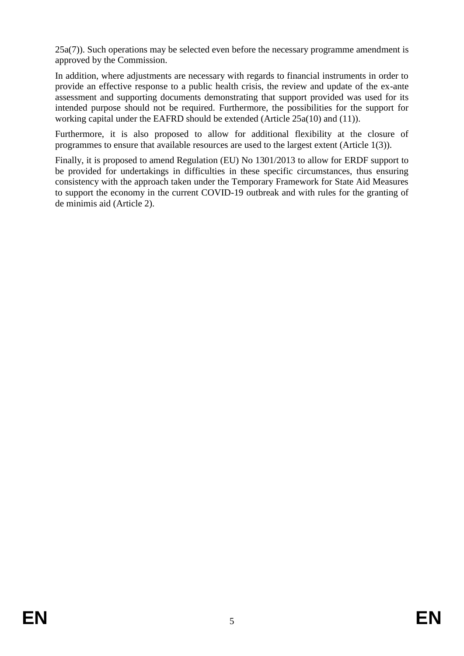$25a(7)$ ). Such operations may be selected even before the necessary programme amendment is approved by the Commission.

In addition, where adjustments are necessary with regards to financial instruments in order to provide an effective response to a public health crisis, the review and update of the ex-ante assessment and supporting documents demonstrating that support provided was used for its intended purpose should not be required. Furthermore, the possibilities for the support for working capital under the EAFRD should be extended (Article 25a(10) and (11)).

Furthermore, it is also proposed to allow for additional flexibility at the closure of programmes to ensure that available resources are used to the largest extent (Article 1(3)).

Finally, it is proposed to amend Regulation (EU) No 1301/2013 to allow for ERDF support to be provided for undertakings in difficulties in these specific circumstances, thus ensuring consistency with the approach taken under the Temporary Framework for State Aid Measures to support the economy in the current COVID-19 outbreak and with rules for the granting of de minimis aid (Article 2).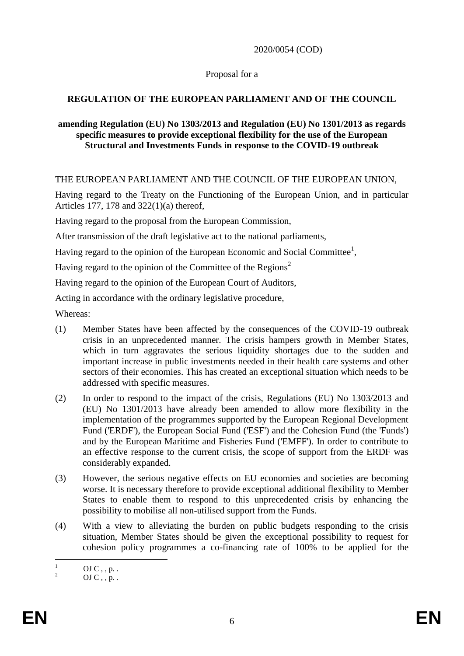2020/0054 (COD)

## Proposal for a

## **REGULATION OF THE EUROPEAN PARLIAMENT AND OF THE COUNCIL**

#### **amending Regulation (EU) No 1303/2013 and Regulation (EU) No 1301/2013 as regards specific measures to provide exceptional flexibility for the use of the European Structural and Investments Funds in response to the COVID-19 outbreak**

## THE EUROPEAN PARLIAMENT AND THE COUNCIL OF THE EUROPEAN UNION,

Having regard to the Treaty on the Functioning of the European Union, and in particular Articles 177, 178 and 322(1)(a) thereof,

Having regard to the proposal from the European Commission,

After transmission of the draft legislative act to the national parliaments,

Having regard to the opinion of the European Economic and Social Committee<sup>1</sup>,

Having regard to the opinion of the Committee of the Regions<sup>2</sup>

Having regard to the opinion of the European Court of Auditors,

Acting in accordance with the ordinary legislative procedure,

Whereas:

- (1) Member States have been affected by the consequences of the COVID-19 outbreak crisis in an unprecedented manner. The crisis hampers growth in Member States, which in turn aggravates the serious liquidity shortages due to the sudden and important increase in public investments needed in their health care systems and other sectors of their economies. This has created an exceptional situation which needs to be addressed with specific measures.
- (2) In order to respond to the impact of the crisis, Regulations (EU) No 1303/2013 and (EU) No 1301/2013 have already been amended to allow more flexibility in the implementation of the programmes supported by the European Regional Development Fund ('ERDF'), the European Social Fund ('ESF') and the Cohesion Fund (the 'Funds') and by the European Maritime and Fisheries Fund ('EMFF'). In order to contribute to an effective response to the current crisis, the scope of support from the ERDF was considerably expanded.
- (3) However, the serious negative effects on EU economies and societies are becoming worse. It is necessary therefore to provide exceptional additional flexibility to Member States to enable them to respond to this unprecedented crisis by enhancing the possibility to mobilise all non-utilised support from the Funds.
- (4) With a view to alleviating the burden on public budgets responding to the crisis situation, Member States should be given the exceptional possibility to request for cohesion policy programmes a co-financing rate of 100% to be applied for the

 $\mathbf{1}$  $\frac{1}{2}$  OJ C, , p. .

 $OJ C$ , , p. .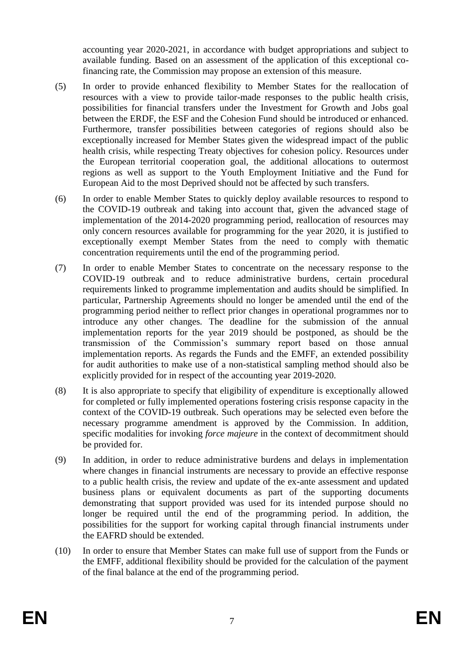accounting year 2020-2021, in accordance with budget appropriations and subject to available funding. Based on an assessment of the application of this exceptional cofinancing rate, the Commission may propose an extension of this measure.

- (5) In order to provide enhanced flexibility to Member States for the reallocation of resources with a view to provide tailor-made responses to the public health crisis, possibilities for financial transfers under the Investment for Growth and Jobs goal between the ERDF, the ESF and the Cohesion Fund should be introduced or enhanced. Furthermore, transfer possibilities between categories of regions should also be exceptionally increased for Member States given the widespread impact of the public health crisis, while respecting Treaty objectives for cohesion policy. Resources under the European territorial cooperation goal, the additional allocations to outermost regions as well as support to the Youth Employment Initiative and the Fund for European Aid to the most Deprived should not be affected by such transfers.
- (6) In order to enable Member States to quickly deploy available resources to respond to the COVID-19 outbreak and taking into account that, given the advanced stage of implementation of the 2014-2020 programming period, reallocation of resources may only concern resources available for programming for the year 2020, it is justified to exceptionally exempt Member States from the need to comply with thematic concentration requirements until the end of the programming period.
- (7) In order to enable Member States to concentrate on the necessary response to the COVID-19 outbreak and to reduce administrative burdens, certain procedural requirements linked to programme implementation and audits should be simplified. In particular, Partnership Agreements should no longer be amended until the end of the programming period neither to reflect prior changes in operational programmes nor to introduce any other changes*.* The deadline for the submission of the annual implementation reports for the year 2019 should be postponed, as should be the transmission of the Commission's summary report based on those annual implementation reports. As regards the Funds and the EMFF, an extended possibility for audit authorities to make use of a non-statistical sampling method should also be explicitly provided for in respect of the accounting year 2019-2020.
- (8) It is also appropriate to specify that eligibility of expenditure is exceptionally allowed for completed or fully implemented operations fostering crisis response capacity in the context of the COVID-19 outbreak. Such operations may be selected even before the necessary programme amendment is approved by the Commission. In addition, specific modalities for invoking *force majeure* in the context of decommitment should be provided for.
- (9) In addition, in order to reduce administrative burdens and delays in implementation where changes in financial instruments are necessary to provide an effective response to a public health crisis, the review and update of the ex-ante assessment and updated business plans or equivalent documents as part of the supporting documents demonstrating that support provided was used for its intended purpose should no longer be required until the end of the programming period. In addition, the possibilities for the support for working capital through financial instruments under the EAFRD should be extended.
- (10) In order to ensure that Member States can make full use of support from the Funds or the EMFF, additional flexibility should be provided for the calculation of the payment of the final balance at the end of the programming period.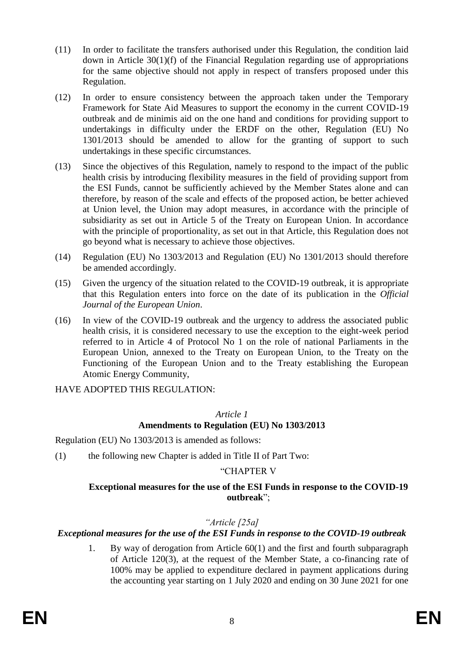- (11) In order to facilitate the transfers authorised under this Regulation, the condition laid down in Article 30(1)(f) of the Financial Regulation regarding use of appropriations for the same objective should not apply in respect of transfers proposed under this Regulation.
- (12) In order to ensure consistency between the approach taken under the Temporary Framework for State Aid Measures to support the economy in the current COVID-19 outbreak and de minimis aid on the one hand and conditions for providing support to undertakings in difficulty under the ERDF on the other, Regulation (EU) No 1301/2013 should be amended to allow for the granting of support to such undertakings in these specific circumstances.
- (13) Since the objectives of this Regulation, namely to respond to the impact of the public health crisis by introducing flexibility measures in the field of providing support from the ESI Funds, cannot be sufficiently achieved by the Member States alone and can therefore, by reason of the scale and effects of the proposed action, be better achieved at Union level, the Union may adopt measures, in accordance with the principle of subsidiarity as set out in Article 5 of the Treaty on European Union. In accordance with the principle of proportionality, as set out in that Article, this Regulation does not go beyond what is necessary to achieve those objectives.
- (14) Regulation (EU) No 1303/2013 and Regulation (EU) No 1301/2013 should therefore be amended accordingly.
- (15) Given the urgency of the situation related to the COVID-19 outbreak, it is appropriate that this Regulation enters into force on the date of its publication in the *Official Journal of the European Union*.
- (16) In view of the COVID-19 outbreak and the urgency to address the associated public health crisis, it is considered necessary to use the exception to the eight-week period referred to in Article 4 of Protocol No 1 on the role of national Parliaments in the European Union, annexed to the Treaty on European Union, to the Treaty on the Functioning of the European Union and to the Treaty establishing the European Atomic Energy Community,

HAVE ADOPTED THIS REGULATION:

### *Article 1* **Amendments to Regulation (EU) No 1303/2013**

Regulation (EU) No 1303/2013 is amended as follows:

(1) the following new Chapter is added in Title II of Part Two:

#### "CHAPTER V

#### **Exceptional measures for the use of the ESI Funds in response to the COVID-19 outbreak**";

## *"Article [25a]*

## *Exceptional measures for the use of the ESI Funds in response to the COVID-19 outbreak*

1. By way of derogation from Article 60(1) and the first and fourth subparagraph of Article 120(3), at the request of the Member State, a co-financing rate of 100% may be applied to expenditure declared in payment applications during the accounting year starting on 1 July 2020 and ending on 30 June 2021 for one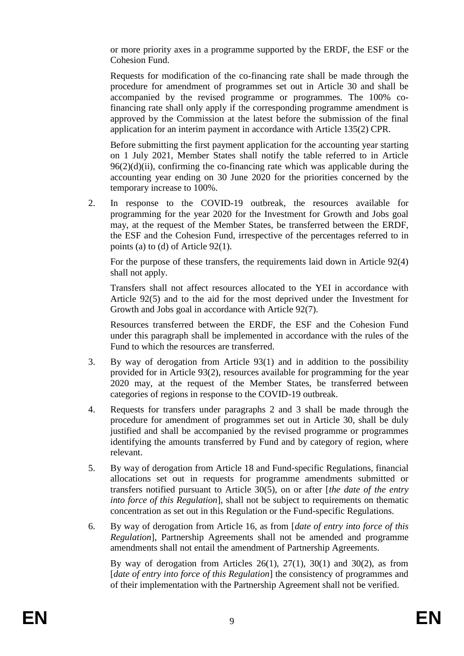or more priority axes in a programme supported by the ERDF, the ESF or the Cohesion Fund.

Requests for modification of the co-financing rate shall be made through the procedure for amendment of programmes set out in Article 30 and shall be accompanied by the revised programme or programmes. The 100% cofinancing rate shall only apply if the corresponding programme amendment is approved by the Commission at the latest before the submission of the final application for an interim payment in accordance with Article 135(2) CPR.

Before submitting the first payment application for the accounting year starting on 1 July 2021, Member States shall notify the table referred to in Article  $96(2)(d)(ii)$ , confirming the co-financing rate which was applicable during the accounting year ending on 30 June 2020 for the priorities concerned by the temporary increase to 100%.

2. In response to the COVID-19 outbreak, the resources available for programming for the year 2020 for the Investment for Growth and Jobs goal may, at the request of the Member States, be transferred between the ERDF, the ESF and the Cohesion Fund, irrespective of the percentages referred to in points (a) to (d) of Article 92(1).

For the purpose of these transfers, the requirements laid down in Article 92(4) shall not apply.

Transfers shall not affect resources allocated to the YEI in accordance with Article 92(5) and to the aid for the most deprived under the Investment for Growth and Jobs goal in accordance with Article 92(7).

Resources transferred between the ERDF, the ESF and the Cohesion Fund under this paragraph shall be implemented in accordance with the rules of the Fund to which the resources are transferred.

- 3. By way of derogation from Article 93(1) and in addition to the possibility provided for in Article 93(2), resources available for programming for the year 2020 may, at the request of the Member States, be transferred between categories of regions in response to the COVID-19 outbreak.
- 4. Requests for transfers under paragraphs 2 and 3 shall be made through the procedure for amendment of programmes set out in Article 30, shall be duly justified and shall be accompanied by the revised programme or programmes identifying the amounts transferred by Fund and by category of region, where relevant.
- 5. By way of derogation from Article 18 and Fund-specific Regulations, financial allocations set out in requests for programme amendments submitted or transfers notified pursuant to Article 30(5), on or after [*the date of the entry into force of this Regulation*], shall not be subject to requirements on thematic concentration as set out in this Regulation or the Fund-specific Regulations.
- 6. By way of derogation from Article 16, as from [*date of entry into force of this Regulation*], Partnership Agreements shall not be amended and programme amendments shall not entail the amendment of Partnership Agreements.

By way of derogation from Articles  $26(1)$ ,  $27(1)$ ,  $30(1)$  and  $30(2)$ , as from [*date of entry into force of this Regulation*] the consistency of programmes and of their implementation with the Partnership Agreement shall not be verified.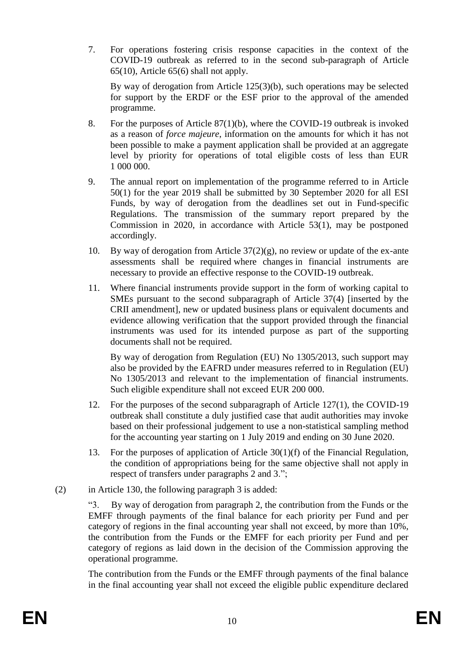7. For operations fostering crisis response capacities in the context of the COVID-19 outbreak as referred to in the second sub-paragraph of Article 65(10), Article 65(6) shall not apply.

By way of derogation from Article 125(3)(b), such operations may be selected for support by the ERDF or the ESF prior to the approval of the amended programme.

- 8. For the purposes of Article 87(1)(b), where the COVID-19 outbreak is invoked as a reason of *force majeure*, information on the amounts for which it has not been possible to make a payment application shall be provided at an aggregate level by priority for operations of total eligible costs of less than EUR 1 000 000.
- 9. The annual report on implementation of the programme referred to in Article 50(1) for the year 2019 shall be submitted by 30 September 2020 for all ESI Funds, by way of derogation from the deadlines set out in Fund-specific Regulations. The transmission of the summary report prepared by the Commission in 2020, in accordance with Article 53(1), may be postponed accordingly.
- 10. By way of derogation from Article  $37(2)(g)$ , no review or update of the ex-ante assessments shall be required where changes in financial instruments are necessary to provide an effective response to the COVID-19 outbreak.
- 11. Where financial instruments provide support in the form of working capital to SMEs pursuant to the second subparagraph of Article 37(4) [inserted by the CRII amendment], new or updated business plans or equivalent documents and evidence allowing verification that the support provided through the financial instruments was used for its intended purpose as part of the supporting documents shall not be required.

By way of derogation from Regulation (EU) No 1305/2013, such support may also be provided by the EAFRD under measures referred to in Regulation (EU) No 1305/2013 and relevant to the implementation of financial instruments. Such eligible expenditure shall not exceed EUR 200 000.

- 12. For the purposes of the second subparagraph of Article 127(1), the COVID-19 outbreak shall constitute a duly justified case that audit authorities may invoke based on their professional judgement to use a non-statistical sampling method for the accounting year starting on 1 July 2019 and ending on 30 June 2020.
- 13. For the purposes of application of Article 30(1)(f) of the Financial Regulation, the condition of appropriations being for the same objective shall not apply in respect of transfers under paragraphs 2 and 3.";
- (2) in Article 130, the following paragraph 3 is added:

"3. By way of derogation from paragraph 2, the contribution from the Funds or the EMFF through payments of the final balance for each priority per Fund and per category of regions in the final accounting year shall not exceed, by more than 10%, the contribution from the Funds or the EMFF for each priority per Fund and per category of regions as laid down in the decision of the Commission approving the operational programme.

The contribution from the Funds or the EMFF through payments of the final balance in the final accounting year shall not exceed the eligible public expenditure declared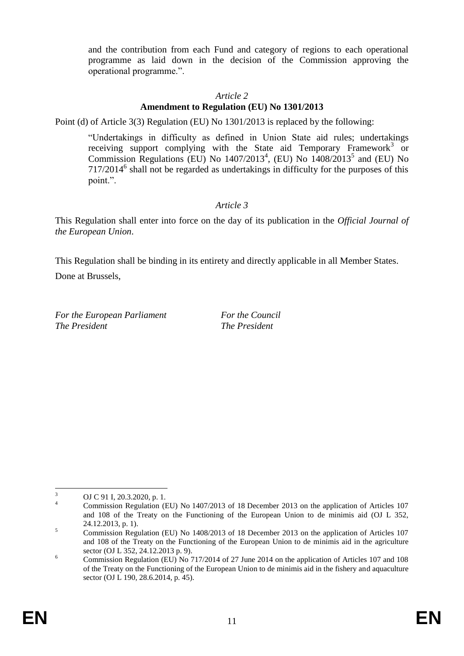and the contribution from each Fund and category of regions to each operational programme as laid down in the decision of the Commission approving the operational programme.".

### *Article 2*

## **Amendment to Regulation (EU) No 1301/2013**

Point (d) of Article 3(3) Regulation (EU) No 1301/2013 is replaced by the following:

"Undertakings in difficulty as defined in Union State aid rules; undertakings receiving support complying with the State aid Temporary Framework<sup>3</sup> or Commission Regulations (EU) No  $1407/2013^4$ , (EU) No  $1408/2013^5$  and (EU) No 717/2014<sup>6</sup> shall not be regarded as undertakings in difficulty for the purposes of this point.".

### *Article 3*

This Regulation shall enter into force on the day of its publication in the *Official Journal of the European Union*.

This Regulation shall be binding in its entirety and directly applicable in all Member States.

Done at Brussels,

*For the European Parliament For the Council The President The President*

 $\overline{\mathbf{3}}$  $\frac{3}{4}$  OJ C 91 I, 20.3.2020, p. 1.

<sup>4</sup> Commission Regulation (EU) No 1407/2013 of 18 December 2013 on the application of Articles 107 and 108 of the Treaty on the Functioning of the European Union to de minimis aid (OJ L 352, 24.12.2013, p. 1).

<sup>&</sup>lt;sup>5</sup> Commission Regulation (EU) No 1408/2013 of 18 December 2013 on the application of Articles 107 and 108 of the Treaty on the Functioning of the European Union to de minimis aid in the agriculture sector (OJ L 352, 24.12.2013 p. 9).

<sup>&</sup>lt;sup>6</sup> Commission Regulation (EU) No 717/2014 of 27 June 2014 on the application of Articles 107 and 108 of the Treaty on the Functioning of the European Union to de minimis aid in the fishery and aquaculture sector (OJ L 190, 28.6.2014, p. 45).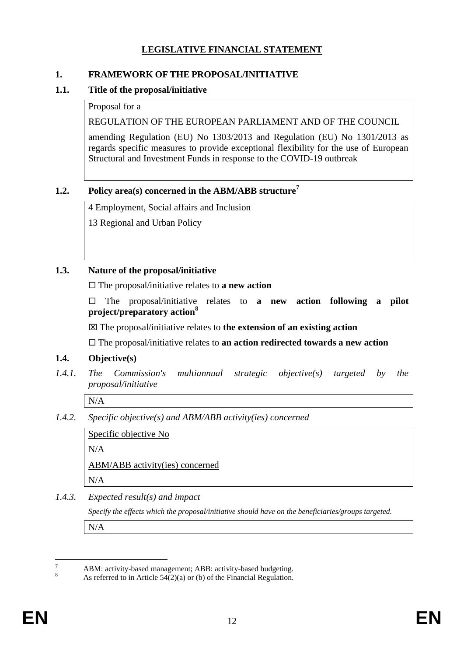## **LEGISLATIVE FINANCIAL STATEMENT**

## **1. FRAMEWORK OF THE PROPOSAL/INITIATIVE**

## **1.1. Title of the proposal/initiative**

### Proposal for a

REGULATION OF THE EUROPEAN PARLIAMENT AND OF THE COUNCIL

amending Regulation (EU) No 1303/2013 and Regulation (EU) No 1301/2013 as regards specific measures to provide exceptional flexibility for the use of European Structural and Investment Funds in response to the COVID-19 outbreak

## **1.2. Policy area(s) concerned in the ABM/ABB structure<sup>7</sup>**

4 Employment, Social affairs and Inclusion

13 Regional and Urban Policy

## **1.3. Nature of the proposal/initiative**

 $\Box$  The proposal/initiative relates to **a new action** 

 The proposal/initiative relates to **a new action following a pilot project/preparatory action<sup>8</sup>**

The proposal/initiative relates to **the extension of an existing action**

The proposal/initiative relates to **an action redirected towards a new action**

## **1.4. Objective(s)**

*1.4.1. The Commission's multiannual strategic objective(s) targeted by the proposal/initiative* 

N/A

*1.4.2. Specific objective(s) and ABM/ABB activity(ies) concerned* 

Specific objective No N/A ABM/ABB activity(ies) concerned N/A

*1.4.3. Expected result(s) and impact*

*Specify the effects which the proposal/initiative should have on the beneficiaries/groups targeted.*

N/A

 $\overline{7}$ ABM: activity-based management; ABB: activity-based budgeting.

As referred to in Article  $54(2)(a)$  or (b) of the Financial Regulation.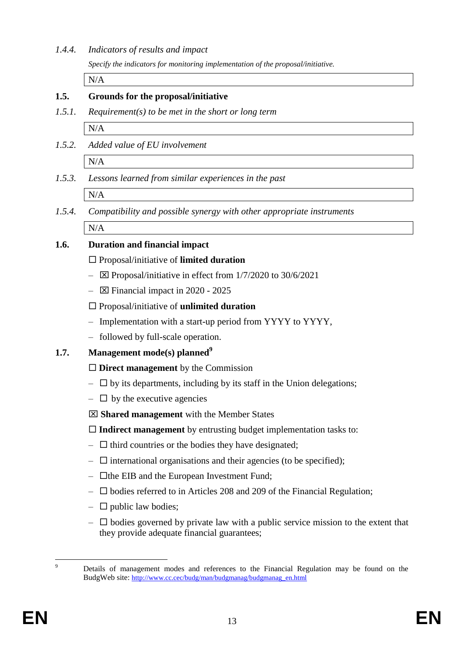#### *1.4.4. Indicators of results and impact*

*Specify the indicators for monitoring implementation of the proposal/initiative.*

N/A

### **1.5. Grounds for the proposal/initiative**

- *1.5.1. Requirement(s) to be met in the short or long term*  N/A
- *1.5.2. Added value of EU involvement*

N/A

*1.5.3. Lessons learned from similar experiences in the past*

N/A

*1.5.4. Compatibility and possible synergy with other appropriate instruments*

N/A

## **1.6. Duration and financial impact**

- □ Proposal/initiative of **limited duration**
- $\boxtimes$  Proposal/initiative in effect from 1/7/2020 to 30/6/2021
- $\boxtimes$  Financial impact in 2020 2025
- Proposal/initiative of **unlimited duration**
- Implementation with a start-up period from YYYY to YYYY,
- followed by full-scale operation.
- **1.7. Management mode(s) planned<sup>9</sup>**
	- **Direct management** by the Commission
	- $\Box$  by its departments, including by its staff in the Union delegations;
	- $\Box$  by the executive agencies
	- **Shared management** with the Member States
	- **Indirect management** by entrusting budget implementation tasks to:
	- $\Box$  third countries or the bodies they have designated;
	- $\Box$  international organisations and their agencies (to be specified);
	- $\Box$  the EIB and the European Investment Fund;
	- $\square$  bodies referred to in Articles 208 and 209 of the Financial Regulation;
	- $\Box$  public law bodies;
	- $\Box$  bodies governed by private law with a public service mission to the extent that they provide adequate financial guarantees;

 $\overline{Q}$ 

<sup>9</sup> Details of management modes and references to the Financial Regulation may be found on the BudgWeb site: [http://www.cc.cec/budg/man/budgmanag/budgmanag\\_en.html](http://www.cc.cec/budg/man/budgmanag/budgmanag_en.html)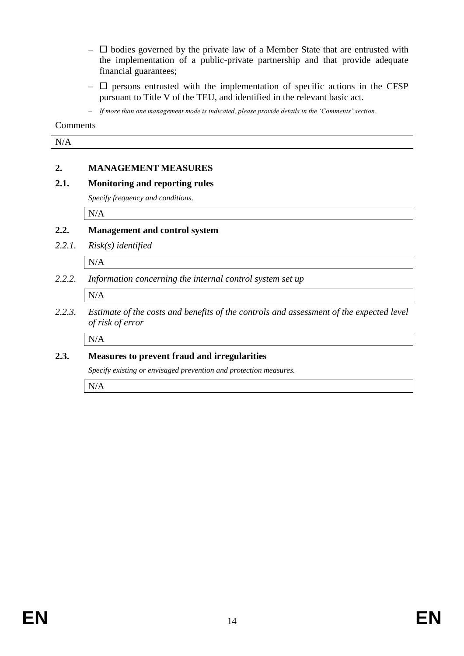- $\Box$  bodies governed by the private law of a Member State that are entrusted with the implementation of a public-private partnership and that provide adequate financial guarantees;
- $\Box$  persons entrusted with the implementation of specific actions in the CFSP pursuant to Title V of the TEU, and identified in the relevant basic act.
- *If more than one management mode is indicated, please provide details in the 'Comments' section.*

#### **Comments**

## **2. MANAGEMENT MEASURES**

#### **2.1. Monitoring and reporting rules**

*Specify frequency and conditions.*

N/A

#### **2.2. Management and control system**

*2.2.1. Risk(s) identified* 

N/A

### *2.2.2. Information concerning the internal control system set up*

N/A

### *2.2.3. Estimate of the costs and benefits of the controls and assessment of the expected level of risk of error*

N/A

#### **2.3. Measures to prevent fraud and irregularities**

*Specify existing or envisaged prevention and protection measures.*

N/A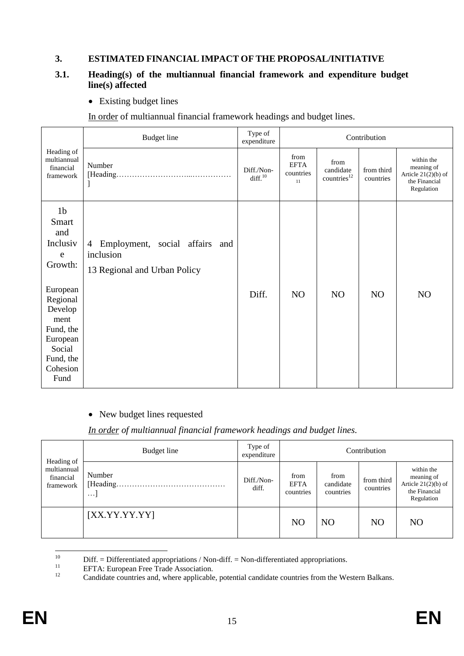## **3. ESTIMATED FINANCIAL IMPACT OF THE PROPOSAL/INITIATIVE**

### **3.1. Heading(s) of the multiannual financial framework and expenditure budget line(s) affected**

• Existing budget lines

In order of multiannual financial framework headings and budget lines.

|                                                                                                                                                                          | <b>Budget</b> line                                                               | Type of<br>expenditure   |                                        |                                              | Contribution            |                                                                                  |
|--------------------------------------------------------------------------------------------------------------------------------------------------------------------------|----------------------------------------------------------------------------------|--------------------------|----------------------------------------|----------------------------------------------|-------------------------|----------------------------------------------------------------------------------|
| Heading of<br>multiannual<br>financial<br>framework                                                                                                                      | Number<br>[Heading.<br>1                                                         | Diff./Non-<br>diff. $10$ | from<br><b>EFTA</b><br>countries<br>11 | from<br>candidate<br>countries <sup>12</sup> | from third<br>countries | within the<br>meaning of<br>Article $21(2)(b)$ of<br>the Financial<br>Regulation |
| 1 <sub>b</sub><br><b>Smart</b><br>and<br>Inclusiv<br>e<br>Growth:<br>European<br>Regional<br>Develop<br>ment<br>Fund, the<br>European<br>Social<br>Fund, the<br>Cohesion | Employment, social affairs and<br>4<br>inclusion<br>13 Regional and Urban Policy | Diff.                    | N <sub>O</sub>                         | N <sub>O</sub>                               | N <sub>O</sub>          | N <sub>O</sub>                                                                   |
| Fund                                                                                                                                                                     |                                                                                  |                          |                                        |                                              |                         |                                                                                  |

## • New budget lines requested

## *In order of multiannual financial framework headings and budget lines.*

|                                                     | Budget line                     | Type of<br>expenditure |                                  |                                | Contribution            |                                                                                  |
|-----------------------------------------------------|---------------------------------|------------------------|----------------------------------|--------------------------------|-------------------------|----------------------------------------------------------------------------------|
| Heading of<br>multiannual<br>financial<br>framework | Number<br>[Heading.<br>$\cdots$ | Diff./Non-<br>diff.    | from<br><b>EFTA</b><br>countries | from<br>candidate<br>countries | from third<br>countries | within the<br>meaning of<br>Article $21(2)(b)$ of<br>the Financial<br>Regulation |
|                                                     | [XX.YY.YY.YY]                   |                        | N <sub>O</sub>                   | <b>NO</b>                      | NO                      | N <sub>O</sub>                                                                   |

 $10\,$ <sup>10</sup> Diff. = Differentiated appropriations / Non-diff. = Non-differentiated appropriations.

<sup>&</sup>lt;sup>11</sup> EFTA: European Free Trade Association.<br>  $\frac{12}{2}$  Condidate countries and where englished

<sup>12</sup> Candidate countries and, where applicable, potential candidate countries from the Western Balkans.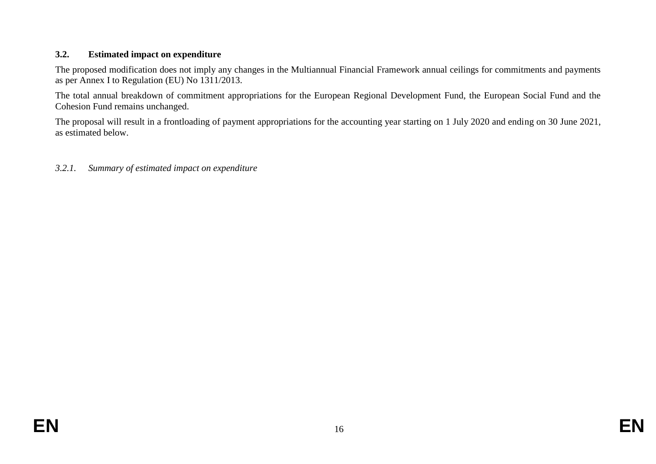## **3.2. Estimated impact on expenditure**

The proposed modification does not imply any changes in the Multiannual Financial Framework annual ceilings for commitments and payments as per Annex I to Regulation (EU) No 1311/2013.

The total annual breakdown of commitment appropriations for the European Regional Development Fund, the European Social Fund and the Cohesion Fund remains unchanged.

The proposal will result in a frontloading of payment appropriations for the accounting year starting on 1 July 2020 and ending on 30 June 2021, as estimated below.

*3.2.1. Summary of estimated impact on expenditure*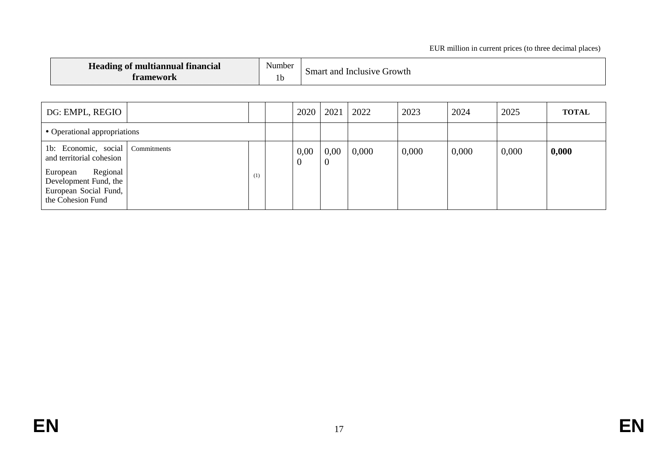| <b>Heading of</b><br>tinancial<br>. multiannuai '<br>$\sim$ WOL $\sim$ | - 7<br>Number<br>. . | and<br>Growth<br>smart<br>Inclusive |
|------------------------------------------------------------------------|----------------------|-------------------------------------|
|------------------------------------------------------------------------|----------------------|-------------------------------------|

| DG: EMPL, REGIO                                                                                                                                             |     | 2020      | 2021             | 2022  | 2023  | 2024  | 2025  | <b>TOTAL</b> |
|-------------------------------------------------------------------------------------------------------------------------------------------------------------|-----|-----------|------------------|-------|-------|-------|-------|--------------|
| • Operational appropriations                                                                                                                                |     |           |                  |       |       |       |       |              |
| 1b: Economic, social Commitments<br>and territorial cohesion<br>Regional<br>European<br>Development Fund, the<br>European Social Fund,<br>the Cohesion Fund | (1) | 0,00<br>0 | 0,00<br>$\theta$ | 0,000 | 0,000 | 0,000 | 0,000 | 0,000        |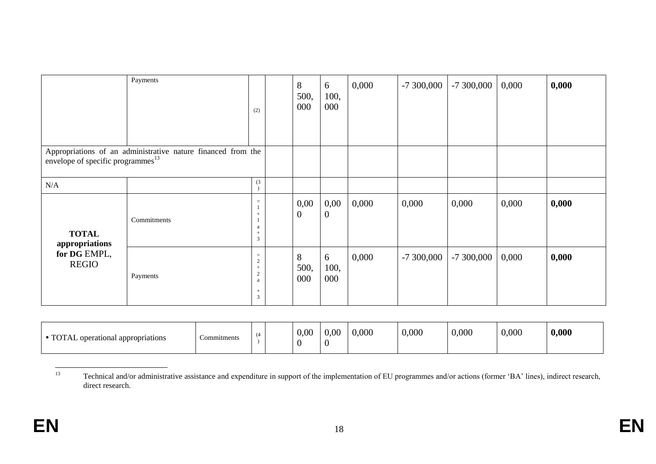|                                | Payments                                                                                                   | (2)                                                 | 8<br>500,<br>000         | 6<br>100,<br>000         | 0,000 | $-7300,000$ | $-7300,000$ | 0,000 | 0,000 |
|--------------------------------|------------------------------------------------------------------------------------------------------------|-----------------------------------------------------|--------------------------|--------------------------|-------|-------------|-------------|-------|-------|
|                                | Appropriations of an administrative nature financed from the envelope of specific programmes <sup>13</sup> |                                                     |                          |                          |       |             |             |       |       |
| N/A                            |                                                                                                            | (3)                                                 |                          |                          |       |             |             |       |       |
| <b>TOTAL</b><br>appropriations | Commitments                                                                                                | $=$<br>$+$<br>a<br>$+$<br>3                         | 0,00<br>$\boldsymbol{0}$ | 0,00<br>$\boldsymbol{0}$ | 0,000 | 0,000       | 0,000       | 0,000 | 0,000 |
| for DG EMPL,<br><b>REGIO</b>   | Payments                                                                                                   | $\equiv$<br>2<br>$\overline{2}$<br>a<br>$^{+}$<br>3 | 8<br>500,<br>000         | 6<br>100,<br>000         | 0,000 | $-7300,000$ | $-7300,000$ | 0,000 | 0,000 |

| $\bullet$ TOT $^{\star}$<br>TOTAL operational appropriations | :\ommitments |  |  | 0,00 | 0,00 | 0,000 | 0,000 | 0,000 | 0,000 | 0,000 |
|--------------------------------------------------------------|--------------|--|--|------|------|-------|-------|-------|-------|-------|
|--------------------------------------------------------------|--------------|--|--|------|------|-------|-------|-------|-------|-------|

 $13$ <sup>13</sup> Technical and/or administrative assistance and expenditure in support of the implementation of EU programmes and/or actions (former 'BA' lines), indirect research, direct research.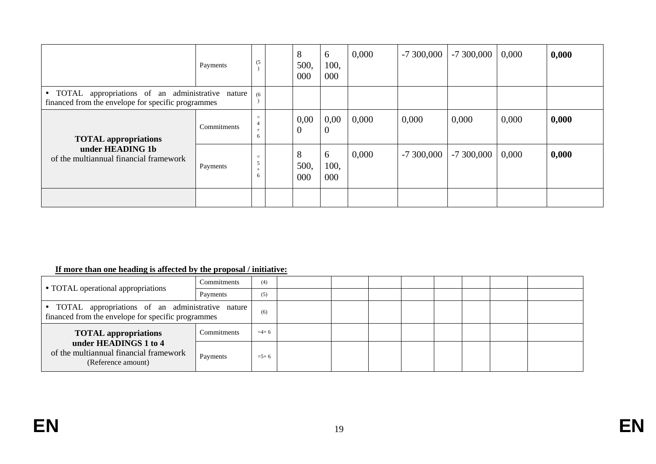|                                                                                                          | Payments    | (5)      | 8<br>500,<br>000 | 6<br>100,<br>000 | 0,000 | $-7300,000$ | $-7300,000$ | 0,000 | 0,000 |
|----------------------------------------------------------------------------------------------------------|-------------|----------|------------------|------------------|-------|-------------|-------------|-------|-------|
| • TOTAL appropriations of an administrative nature<br>financed from the envelope for specific programmes |             | (6)      |                  |                  |       |             |             |       |       |
| <b>TOTAL appropriations</b><br>under HEADING 1b<br>of the multiannual financial framework                | Commitments | $=$<br>6 | 0,00<br>0        | 0,00<br>v        | 0,000 | 0,000       | 0,000       | 0,000 | 0,000 |
|                                                                                                          | Payments    | $=$<br>6 | 8<br>500,<br>000 | 6<br>100,<br>000 | 0,000 | $-7300,000$ | $-7300,000$ | 0,000 | 0,000 |
|                                                                                                          |             |          |                  |                  |       |             |             |       |       |

#### **If more than one heading is affected by the proposal / initiative:**

| • TOTAL operational appropriations                                                                       | Commitments | (4)       |  |  |  |  |
|----------------------------------------------------------------------------------------------------------|-------------|-----------|--|--|--|--|
|                                                                                                          | Payments    | (5)       |  |  |  |  |
| • TOTAL appropriations of an administrative nature<br>financed from the envelope for specific programmes |             | (6)       |  |  |  |  |
| <b>TOTAL appropriations</b>                                                                              | Commitments | $=4+6$    |  |  |  |  |
| under HEADINGS 1 to 4<br>of the multiannual financial framework<br>(Reference amount)                    | Payments    | $= 5 + 6$ |  |  |  |  |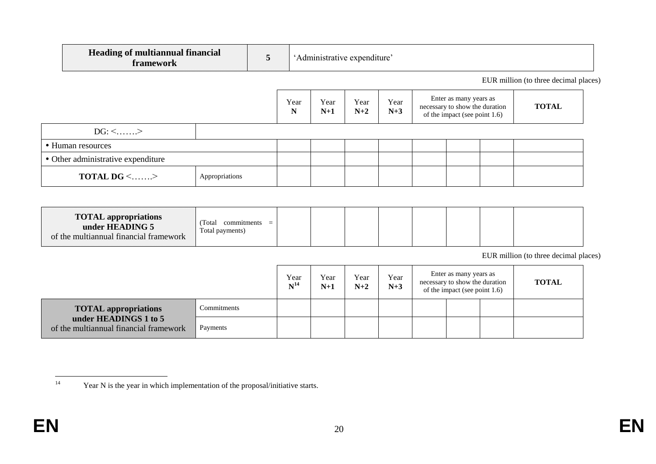| <b>Heading of multiannual financial</b><br>framework | 5              |           | 'Administrative expenditure' |               |               |                                                                                           |                                       |
|------------------------------------------------------|----------------|-----------|------------------------------|---------------|---------------|-------------------------------------------------------------------------------------------|---------------------------------------|
|                                                      |                |           |                              |               |               |                                                                                           | EUR million (to three decimal places) |
|                                                      |                | Year<br>N | Year<br>$N+1$                | Year<br>$N+2$ | Year<br>$N+3$ | Enter as many years as<br>necessary to show the duration<br>of the impact (see point 1.6) | <b>TOTAL</b>                          |
| $DG: \leq$ >                                         |                |           |                              |               |               |                                                                                           |                                       |
| • Human resources                                    |                |           |                              |               |               |                                                                                           |                                       |
| • Other administrative expenditure                   |                |           |                              |               |               |                                                                                           |                                       |
| <b>TOTAL DG <math>\leq</math>&gt;</b>                | Appropriations |           |                              |               |               |                                                                                           |                                       |

EUR million (to three decimal places)

|                                                                 |          | Year<br>$N^{14}$ | Year<br>$N+1$ | Year<br>$N+2$ | Year<br>$N+3$ | Enter as many years as<br>necessary to show the duration<br>of the impact (see point 1.6) | <b>TOTAL</b> |
|-----------------------------------------------------------------|----------|------------------|---------------|---------------|---------------|-------------------------------------------------------------------------------------------|--------------|
| Commitments<br><b>TOTAL appropriations</b>                      |          |                  |               |               |               |                                                                                           |              |
| under HEADINGS 1 to 5<br>of the multiannual financial framework | Payments |                  |               |               |               |                                                                                           |              |

 $14$ Year N is the year in which implementation of the proposal/initiative starts.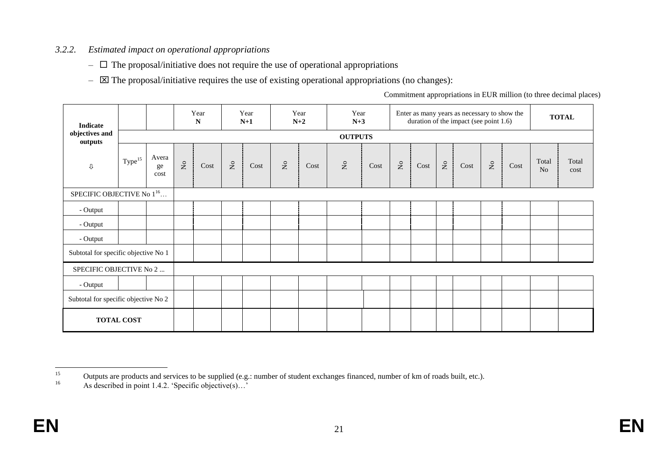## *3.2.2. Estimated impact on operational appropriations*

- $\Box$  The proposal/initiative does not require the use of operational appropriations
- $-\nabla$  The proposal/initiative requires the use of existing operational appropriations (no changes):

Commitment appropriations in EUR million (to three decimal places)

| Indicate                              |                    |                     |                           | Year<br>N |                                | Year<br>$N+1$ |                                     | Year<br>$N+2$ | Year<br>$N+3$         |                     |                    |      |                           | Enter as many years as necessary to show the<br>duration of the impact (see point 1.6) |                                |      |             | <b>TOTAL</b>  |
|---------------------------------------|--------------------|---------------------|---------------------------|-----------|--------------------------------|---------------|-------------------------------------|---------------|-----------------------|---------------------|--------------------|------|---------------------------|----------------------------------------------------------------------------------------|--------------------------------|------|-------------|---------------|
| objectives and<br>outputs             | <b>OUTPUTS</b>     |                     |                           |           |                                |               |                                     |               |                       |                     |                    |      |                           |                                                                                        |                                |      |             |               |
| ⇩                                     | Type <sup>15</sup> | Avera<br>ge<br>cost | $\mathsf{S}_{\mathsf{A}}$ | Cost      | $\stackrel{\circ}{\mathbf{Z}}$ | Cost          | $\stackrel{\mathtt{o}}{\mathsf{z}}$ | Cost          | $\mathop{\mathsf{S}}$ | $\mathop{\rm Cost}$ | $\rm _{N}^{\circ}$ | Cost | $\mathsf{S}_{\mathsf{A}}$ | Cost                                                                                   | $\stackrel{\circ}{\mathbf{Z}}$ | Cost | Total<br>No | Total<br>cost |
| SPECIFIC OBJECTIVE No 1 <sup>16</sup> |                    |                     |                           |           |                                |               |                                     |               |                       |                     |                    |      |                           |                                                                                        |                                |      |             |               |
| - Output                              |                    |                     |                           |           |                                |               |                                     |               |                       |                     |                    |      |                           |                                                                                        |                                |      |             |               |
| - Output                              |                    |                     |                           |           |                                |               |                                     |               |                       |                     |                    |      |                           |                                                                                        |                                |      |             |               |
| - Output                              |                    |                     |                           |           |                                |               |                                     |               |                       |                     |                    |      |                           |                                                                                        |                                |      |             |               |
| Subtotal for specific objective No 1  |                    |                     |                           |           |                                |               |                                     |               |                       |                     |                    |      |                           |                                                                                        |                                |      |             |               |
| SPECIFIC OBJECTIVE No 2               |                    |                     |                           |           |                                |               |                                     |               |                       |                     |                    |      |                           |                                                                                        |                                |      |             |               |
| - Output                              |                    |                     |                           |           |                                |               |                                     |               |                       |                     |                    |      |                           |                                                                                        |                                |      |             |               |
| Subtotal for specific objective No 2  |                    |                     |                           |           |                                |               |                                     |               |                       |                     |                    |      |                           |                                                                                        |                                |      |             |               |
|                                       | <b>TOTAL COST</b>  |                     |                           |           |                                |               |                                     |               |                       |                     |                    |      |                           |                                                                                        |                                |      |             |               |

 $15$ <sup>15</sup> Outputs are products and services to be supplied (e.g.: number of student exchanges financed, number of km of roads built, etc.).

As described in point 1.4.2. 'Specific objective(s)...'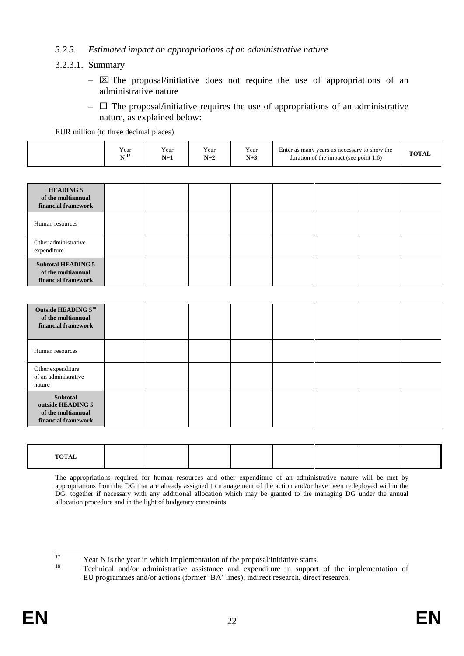### *3.2.3. Estimated impact on appropriations of an administrative nature*

- 3.2.3.1. Summary
	- $\boxtimes$  The proposal/initiative does not require the use of appropriations of an administrative nature
	- $\Box$  The proposal/initiative requires the use of appropriations of an administrative nature, as explained below:

EUR million (to three decimal places)

| $ -$<br>$\mathbf{v}$ | Year<br>Y ear<br> | . .<br>∩ear<br>14 T 4 | Year<br>$N+3$ | Enter as many years as necessary to show the<br>duration of the impact (see point $1.6$ ) | <b>TOTAL</b> |
|----------------------|-------------------|-----------------------|---------------|-------------------------------------------------------------------------------------------|--------------|
|----------------------|-------------------|-----------------------|---------------|-------------------------------------------------------------------------------------------|--------------|

| <b>HEADING 5</b><br>of the multiannual<br>financial framework          |  |  |  |  |
|------------------------------------------------------------------------|--|--|--|--|
| Human resources                                                        |  |  |  |  |
| Other administrative<br>expenditure                                    |  |  |  |  |
| <b>Subtotal HEADING 5</b><br>of the multiannual<br>financial framework |  |  |  |  |

| Outside HEADING 5 <sup>18</sup><br>of the multiannual<br>financial framework |  |  |  |  |
|------------------------------------------------------------------------------|--|--|--|--|
| Human resources                                                              |  |  |  |  |
| Other expenditure<br>of an administrative<br>nature                          |  |  |  |  |
| Subtotal<br>outside HEADING 5<br>of the multiannual<br>financial framework   |  |  |  |  |

| <b>TOTAL</b> |  |  |  |  |
|--------------|--|--|--|--|
|              |  |  |  |  |
|              |  |  |  |  |
|              |  |  |  |  |

The appropriations required for human resources and other expenditure of an administrative nature will be met by appropriations from the DG that are already assigned to management of the action and/or have been redeployed within the DG, together if necessary with any additional allocation which may be granted to the managing DG under the annual allocation procedure and in the light of budgetary constraints.

<sup>17</sup> <sup>17</sup> Year N is the year in which implementation of the proposal/initiative starts.<br>Technical and/or edministrative assistance and expenditure in support

<sup>18</sup> Technical and/or administrative assistance and expenditure in support of the implementation of EU programmes and/or actions (former 'BA' lines), indirect research, direct research.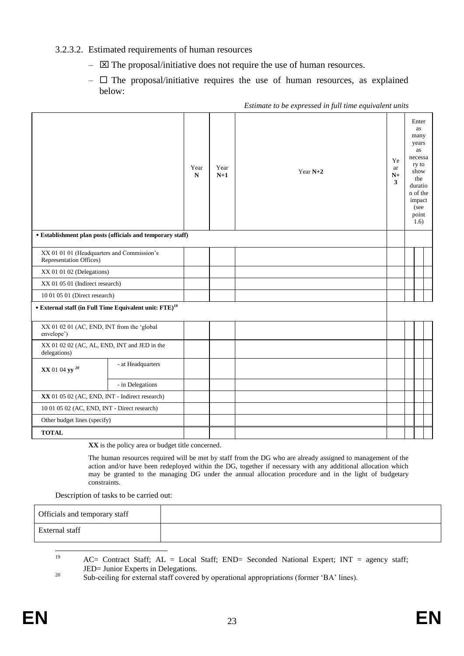### 3.2.3.2. Estimated requirements of human resources

- $\boxtimes$  The proposal/initiative does not require the use of human resources.
- $\Box$  The proposal/initiative requires the use of human resources, as explained below:

|                                                                              |                   |  | Year<br>$N+1$ | Year $N+2$ | Ye<br>ar<br>$N+$<br>$\overline{\mathbf{3}}$ |  | Enter<br>as<br>many<br>years<br>as<br>necessa<br>ry to<br>show<br>the<br>duratio<br>n of the<br>impact<br>(see<br>point<br>1.6) |  |
|------------------------------------------------------------------------------|-------------------|--|---------------|------------|---------------------------------------------|--|---------------------------------------------------------------------------------------------------------------------------------|--|
| · Establishment plan posts (officials and temporary staff)                   |                   |  |               |            |                                             |  |                                                                                                                                 |  |
| XX 01 01 01 (Headquarters and Commission's<br>Representation Offices)        |                   |  |               |            |                                             |  |                                                                                                                                 |  |
| XX 01 01 02 (Delegations)                                                    |                   |  |               |            |                                             |  |                                                                                                                                 |  |
| XX 01 05 01 (Indirect research)                                              |                   |  |               |            |                                             |  |                                                                                                                                 |  |
| 10 01 05 01 (Direct research)                                                |                   |  |               |            |                                             |  |                                                                                                                                 |  |
| $\bullet$ External staff (in Full Time Equivalent unit: $\mathrm{FTE})^{19}$ |                   |  |               |            |                                             |  |                                                                                                                                 |  |
| XX 01 02 01 (AC, END, INT from the 'global<br>envelope')                     |                   |  |               |            |                                             |  |                                                                                                                                 |  |
| XX 01 02 02 (AC, AL, END, INT and JED in the<br>delegations)                 |                   |  |               |            |                                             |  |                                                                                                                                 |  |
| $\mathbf{XX}$ 01 04 yy $^{20}$                                               | - at Headquarters |  |               |            |                                             |  |                                                                                                                                 |  |
|                                                                              | - in Delegations  |  |               |            |                                             |  |                                                                                                                                 |  |
| XX 01 05 02 (AC, END, INT - Indirect research)                               |                   |  |               |            |                                             |  |                                                                                                                                 |  |
| 10 01 05 02 (AC, END, INT - Direct research)                                 |                   |  |               |            |                                             |  |                                                                                                                                 |  |
| Other budget lines (specify)                                                 |                   |  |               |            |                                             |  |                                                                                                                                 |  |
| <b>TOTAL</b>                                                                 |                   |  |               |            |                                             |  |                                                                                                                                 |  |

*Estimate to be expressed in full time equivalent units*

**XX** is the policy area or budget title concerned.

The human resources required will be met by staff from the DG who are already assigned to management of the action and/or have been redeployed within the DG, together if necessary with any additional allocation which may be granted to the managing DG under the annual allocation procedure and in the light of budgetary constraints.

Description of tasks to be carried out:

| Officials and temporary staff |  |
|-------------------------------|--|
| External staff                |  |

<sup>19</sup> AC= Contract Staff; AL = Local Staff; END= Seconded National Expert; INT = agency staff; JED= Junior Experts in Delegations.

<sup>&</sup>lt;sup>20</sup> Sub-ceiling for external staff covered by operational appropriations (former 'BA' lines).